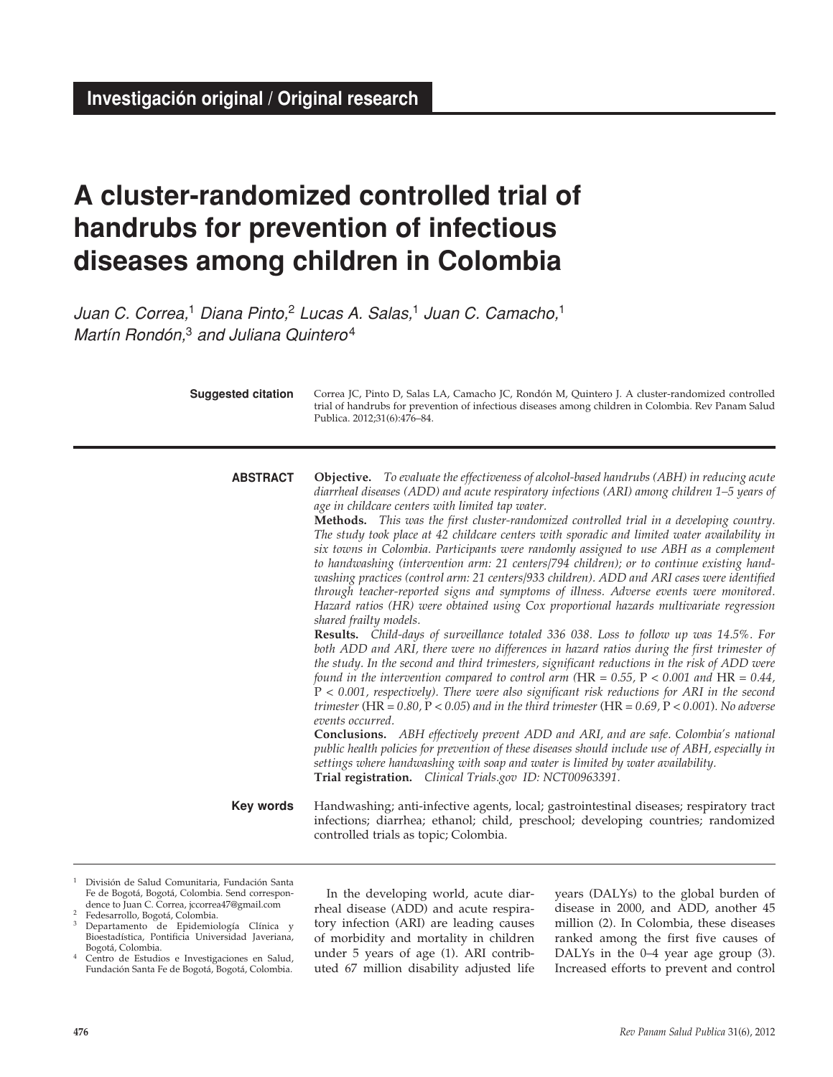# **A cluster-randomized controlled trial of handrubs for prevention of infectious diseases among children in Colombia**

*Juan C. Correa,*1 *Diana Pinto,*2 *Lucas A. Salas,*1 *Juan C. Camacho,*<sup>1</sup> *Martín Rondón,*3 *and Juliana Quintero*<sup>4</sup>

| <b>Suggested citation</b> | Correa JC, Pinto D, Salas LA, Camacho JC, Rondón M, Quintero J. A cluster-randomized controlled<br>trial of handrubs for prevention of infectious diseases among children in Colombia. Rev Panam Salud<br>Publica. 2012;31(6):476-84.                                                                                                                                                                                                                                                                                                                                                                                                                                                                                                                                                                                                                                                                                                                                                                                                                                                                                                                                                                                                                                                                                                                                                                                                                                                                                                                                                                                                                                                                                                                                                                                                                                                                                                    |
|---------------------------|------------------------------------------------------------------------------------------------------------------------------------------------------------------------------------------------------------------------------------------------------------------------------------------------------------------------------------------------------------------------------------------------------------------------------------------------------------------------------------------------------------------------------------------------------------------------------------------------------------------------------------------------------------------------------------------------------------------------------------------------------------------------------------------------------------------------------------------------------------------------------------------------------------------------------------------------------------------------------------------------------------------------------------------------------------------------------------------------------------------------------------------------------------------------------------------------------------------------------------------------------------------------------------------------------------------------------------------------------------------------------------------------------------------------------------------------------------------------------------------------------------------------------------------------------------------------------------------------------------------------------------------------------------------------------------------------------------------------------------------------------------------------------------------------------------------------------------------------------------------------------------------------------------------------------------------|
| <b>ABSTRACT</b>           | <b>Objective.</b> To evaluate the effectiveness of alcohol-based handrubs (ABH) in reducing acute<br>diarrheal diseases (ADD) and acute respiratory infections (ARI) among children 1–5 years of<br>age in childcare centers with limited tap water.<br>Methods. This was the first cluster-randomized controlled trial in a developing country.<br>The study took place at 42 childcare centers with sporadic and limited water availability in<br>six towns in Colombia. Participants were randomly assigned to use ABH as a complement<br>to handwashing (intervention arm: 21 centers/794 children); or to continue existing hand-<br>washing practices (control arm: 21 centers/933 children). ADD and ARI cases were identified<br>through teacher-reported signs and symptoms of illness. Adverse events were monitored.<br>Hazard ratios (HR) were obtained using Cox proportional hazards multivariate regression<br>shared frailty models.<br><b>Results.</b> Child-days of surveillance totaled 336 038. Loss to follow up was 14.5%. For<br>both ADD and ARI, there were no differences in hazard ratios during the first trimester of<br>the study. In the second and third trimesters, significant reductions in the risk of ADD were<br>found in the intervention compared to control arm (HR = $0.55$ , P < 0.001 and HR = $0.44$ ,<br>$P < 0.001$ , respectively). There were also significant risk reductions for ARI in the second<br>trimester (HR = $0.80$ , P < $0.05$ ) and in the third trimester (HR = $0.69$ , P < $0.001$ ). No adverse<br>events occurred.<br><b>Conclusions.</b> ABH effectively prevent ADD and ARI, and are safe. Colombia's national<br>public health policies for prevention of these diseases should include use of ABH, especially in<br>settings where handwashing with soap and water is limited by water availability.<br>Trial registration. Clinical Trials.gov ID: NCT00963391. |
| Key words                 | Handwashing; anti-infective agents, local; gastrointestinal diseases; respiratory tract<br>infections; diarrhea; ethanol; child, preschool; developing countries; randomized<br>controlled trials as topic; Colombia.                                                                                                                                                                                                                                                                                                                                                                                                                                                                                                                                                                                                                                                                                                                                                                                                                                                                                                                                                                                                                                                                                                                                                                                                                                                                                                                                                                                                                                                                                                                                                                                                                                                                                                                    |

- $1$  División de Salud Comunitaria, Fundación Santa Fe de Bogotá, Bogotá, Colombia. Send correspondence to Juan C. Correa, jccorrea47@gmail.com
- <sup>2</sup> Fedesarrollo, Bogotá, Colombia. <sup>3</sup> Departamento de Epidemiología Clínica y Bioestadística, Pontificia Universidad Javeriana, Bogotá, Colombia.
- 4 Centro de Estudios e Investigaciones en Salud, Fundación Santa Fe de Bogotá, Bogotá, Colombia.

In the developing world, acute diarrheal disease (ADD) and acute respiratory infection (ARI) are leading causes of morbidity and mortality in children under 5 years of age (1). ARI contributed 67 million disability adjusted life years (DALYs) to the global burden of disease in 2000, and ADD, another 45 million (2). In Colombia, these diseases ranked among the first five causes of DALYs in the 0–4 year age group (3). Increased efforts to prevent and control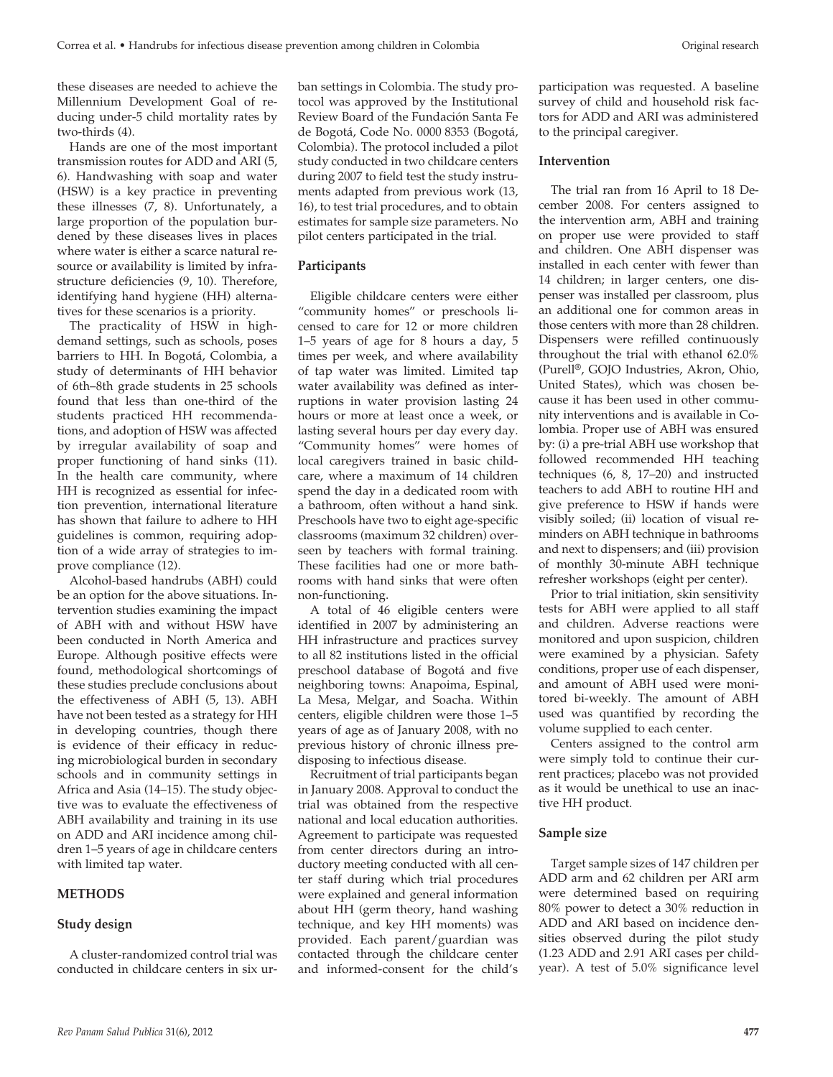these diseases are needed to achieve the Millennium Development Goal of reducing under-5 child mortality rates by two-thirds (4).

Hands are one of the most important transmission routes for ADD and ARI (5, 6). Handwashing with soap and water (HSW) is a key practice in preventing these illnesses (7, 8). Unfortunately, a large proportion of the population burdened by these diseases lives in places where water is either a scarce natural resource or availability is limited by infrastructure deficiencies (9, 10). Therefore, identifying hand hygiene (HH) alternatives for these scenarios is a priority.

The practicality of HSW in highdemand settings, such as schools, poses barriers to HH. In Bogotá, Colombia, a study of determinants of HH behavior of 6th–8th grade students in 25 schools found that less than one-third of the students practiced HH recommendations, and adoption of HSW was affected by irregular availability of soap and proper functioning of hand sinks (11). In the health care community, where HH is recognized as essential for infection prevention, international literature has shown that failure to adhere to HH guidelines is common, requiring adoption of a wide array of strategies to improve compliance (12).

Alcohol-based handrubs (ABH) could be an option for the above situations. Intervention studies examining the impact of ABH with and without HSW have been conducted in North America and Europe. Although positive effects were found, methodological shortcomings of these studies preclude conclusions about the effectiveness of ABH (5, 13). ABH have not been tested as a strategy for HH in developing countries, though there is evidence of their efficacy in reducing microbiological burden in secondary schools and in community settings in Africa and Asia (14–15). The study objective was to evaluate the effectiveness of ABH availability and training in its use on ADD and ARI incidence among children 1–5 years of age in childcare centers with limited tap water.

### **METHODS**

### **Study design**

A cluster-randomized control trial was conducted in childcare centers in six urban settings in Colombia. The study protocol was approved by the Institutional Review Board of the Fundación Santa Fe de Bogotá, Code No. 0000 8353 (Bogotá, Colombia). The protocol included a pilot study conducted in two childcare centers during 2007 to field test the study instruments adapted from previous work (13, 16), to test trial procedures, and to obtain estimates for sample size parameters. No pilot centers participated in the trial.

## **Participants**

Eligible childcare centers were either "community homes" or preschools licensed to care for 12 or more children 1–5 years of age for 8 hours a day, 5 times per week, and where availability of tap water was limited. Limited tap water availability was defined as interruptions in water provision lasting 24 hours or more at least once a week, or lasting several hours per day every day. "Community homes" were homes of local caregivers trained in basic childcare, where a maximum of 14 children spend the day in a dedicated room with a bathroom, often without a hand sink. Preschools have two to eight age-specific classrooms (maximum 32 children) overseen by teachers with formal training. These facilities had one or more bathrooms with hand sinks that were often non-functioning.

A total of 46 eligible centers were identified in 2007 by administering an HH infrastructure and practices survey to all 82 institutions listed in the official preschool database of Bogotá and five neighboring towns: Anapoima, Espinal, La Mesa, Melgar, and Soacha. Within centers, eligible children were those 1–5 years of age as of January 2008, with no previous history of chronic illness predisposing to infectious disease.

Recruitment of trial participants began in January 2008. Approval to conduct the trial was obtained from the respective national and local education authorities. Agreement to participate was requested from center directors during an introductory meeting conducted with all center staff during which trial procedures were explained and general information about HH (germ theory, hand washing technique, and key HH moments) was provided. Each parent/guardian was contacted through the childcare center and informed-consent for the child's

participation was requested. A baseline survey of child and household risk factors for ADD and ARI was administered to the principal caregiver.

#### **Intervention**

The trial ran from 16 April to 18 December 2008. For centers assigned to the intervention arm, ABH and training on proper use were provided to staff and children. One ABH dispenser was installed in each center with fewer than 14 children; in larger centers, one dispenser was installed per classroom, plus an additional one for common areas in those centers with more than 28 children. Dispensers were refilled continuously throughout the trial with ethanol 62.0% (Purell®, GOJO Industries, Akron, Ohio, United States), which was chosen because it has been used in other community interventions and is available in Colombia. Proper use of ABH was ensured by: (i) a pre-trial ABH use workshop that followed recommended HH teaching techniques (6, 8, 17–20) and instructed teachers to add ABH to routine HH and give preference to HSW if hands were visibly soiled; (ii) location of visual reminders on ABH technique in bathrooms and next to dispensers; and (iii) provision of monthly 30-minute ABH technique refresher workshops (eight per center).

Prior to trial initiation, skin sensitivity tests for ABH were applied to all staff and children. Adverse reactions were monitored and upon suspicion, children were examined by a physician. Safety conditions, proper use of each dispenser, and amount of ABH used were monitored bi-weekly. The amount of ABH used was quantified by recording the volume supplied to each center.

Centers assigned to the control arm were simply told to continue their current practices; placebo was not provided as it would be unethical to use an inactive HH product.

#### **Sample size**

Target sample sizes of 147 children per ADD arm and 62 children per ARI arm were determined based on requiring 80% power to detect a 30% reduction in ADD and ARI based on incidence densities observed during the pilot study (1.23 ADD and 2.91 ARI cases per childyear). A test of 5.0% significance level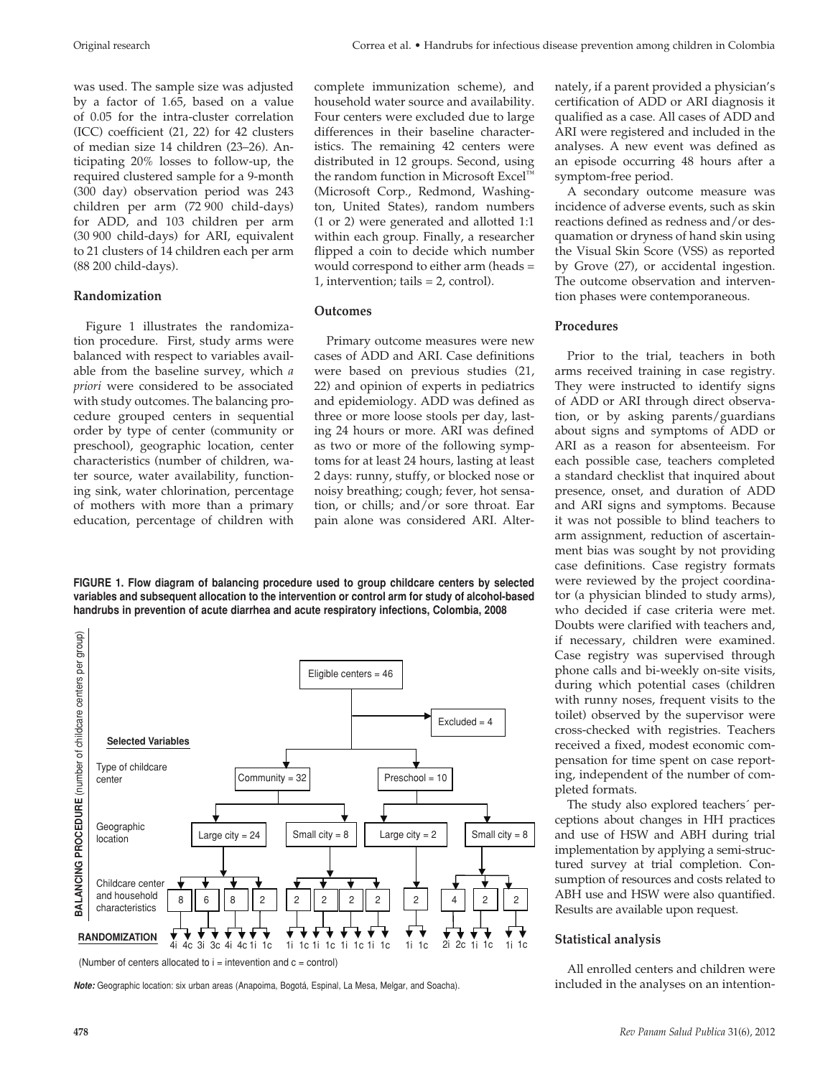was used. The sample size was adjusted by a factor of 1.65, based on a value of 0.05 for the intra-cluster correlation (ICC) coefficient (21, 22) for 42 clusters of median size 14 children (23–26). Anticipating 20% losses to follow-up, the required clustered sample for a 9-month (300 day) observation period was 243 children per arm (72 900 child-days) for ADD, and 103 children per arm (30 900 child-days) for ARI, equivalent to 21 clusters of 14 children each per arm (88 200 child-days).

# **Randomization**

Figure 1 illustrates the randomization procedure. First, study arms were balanced with respect to variables available from the baseline survey, which *a priori* were considered to be associated with study outcomes. The balancing procedure grouped centers in sequential order by type of center (community or preschool), geographic location, center characteristics (number of children, water source, water availability, functioning sink, water chlorination, percentage of mothers with more than a primary education, percentage of children with

complete immunization scheme), and household water source and availability. Four centers were excluded due to large differences in their baseline characteristics. The remaining 42 centers were distributed in 12 groups. Second, using the random function in Microsoft Excel™ (Microsoft Corp., Redmond, Washington, United States), random numbers (1 or 2) were generated and allotted 1:1 within each group. Finally, a researcher flipped a coin to decide which number would correspond to either arm (heads = 1, intervention; tails = 2, control).

# **Outcomes**

Primary outcome measures were new cases of ADD and ARI. Case definitions were based on previous studies (21, 22) and opinion of experts in pediatrics and epidemiology. ADD was defined as three or more loose stools per day, lasting 24 hours or more. ARI was defined as two or more of the following symptoms for at least 24 hours, lasting at least 2 days: runny, stuffy, or blocked nose or noisy breathing; cough; fever, hot sensation, or chills; and/or sore throat. Ear pain alone was considered ARI. Alter-

**FIGURE 1. Flow diagram of balancing procedure used to group childcare centers by selected variables and subsequent allocation to the intervention or control arm for study of alcohol-based handrubs in prevention of acute diarrhea and acute respiratory infections, Colombia, 2008** 



*Note:* Geographic location: six urban areas (Anapoima, Bogotá, Espinal, La Mesa, Melgar, and Soacha).

nately, if a parent provided a physician's certification of ADD or ARI diagnosis it qualified as a case. All cases of ADD and ARI were registered and included in the analyses. A new event was defined as an episode occurring 48 hours after a symptom-free period.

A secondary outcome measure was incidence of adverse events, such as skin reactions defined as redness and/or desquamation or dryness of hand skin using the Visual Skin Score (VSS) as reported by Grove (27), or accidental ingestion. The outcome observation and intervention phases were contemporaneous.

# **Procedures**

Prior to the trial, teachers in both arms received training in case registry. They were instructed to identify signs of ADD or ARI through direct observation, or by asking parents/guardians about signs and symptoms of ADD or ARI as a reason for absenteeism. For each possible case, teachers completed a standard checklist that inquired about presence, onset, and duration of ADD and ARI signs and symptoms. Because it was not possible to blind teachers to arm assignment, reduction of ascertainment bias was sought by not providing case definitions. Case registry formats were reviewed by the project coordinator (a physician blinded to study arms), who decided if case criteria were met. Doubts were clarified with teachers and, if necessary, children were examined. Case registry was supervised through phone calls and bi-weekly on-site visits, during which potential cases (children with runny noses, frequent visits to the toilet) observed by the supervisor were cross-checked with registries. Teachers received a fixed, modest economic compensation for time spent on case reporting, independent of the number of completed formats.

The study also explored teachers´ perceptions about changes in HH practices and use of HSW and ABH during trial implementation by applying a semi-structured survey at trial completion. Consumption of resources and costs related to ABH use and HSW were also quantified. Results are available upon request.

# **Statistical analysis**

All enrolled centers and children were included in the analyses on an intention-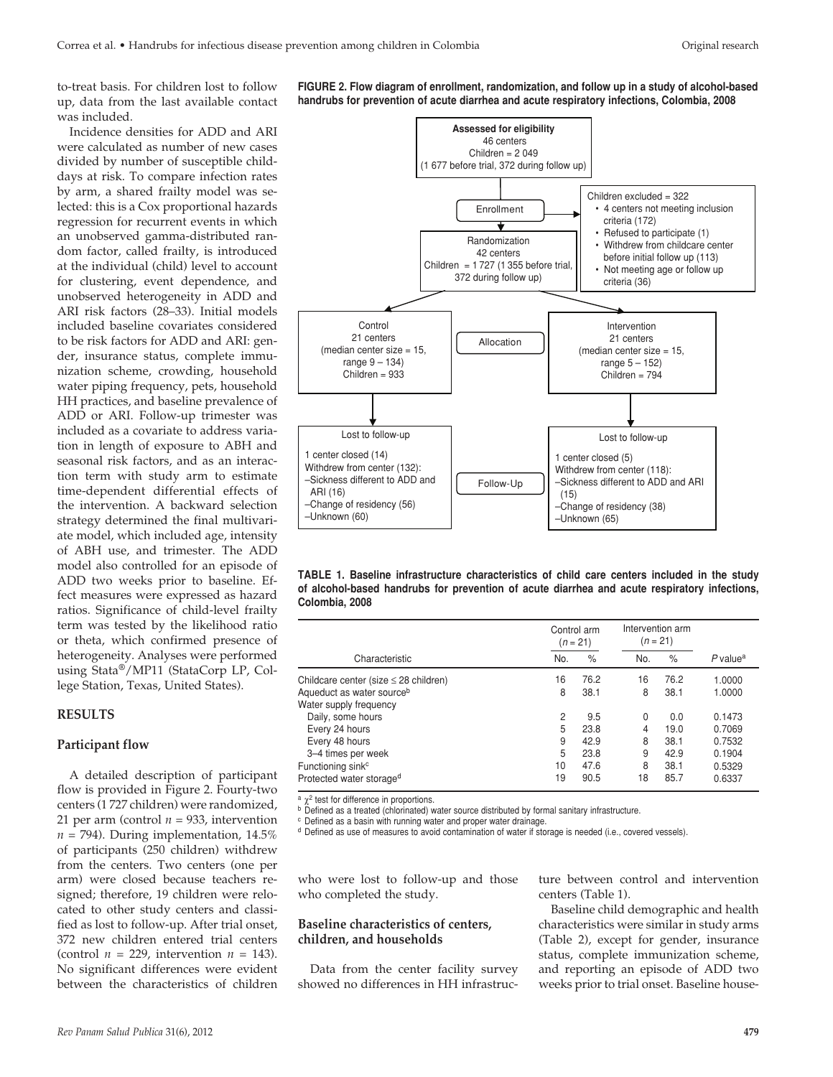to-treat basis. For children lost to follow up, data from the last available contact was included.

Incidence densities for ADD and ARI were calculated as number of new cases divided by number of susceptible childdays at risk. To compare infection rates by arm, a shared frailty model was selected: this is a Cox proportional hazards regression for recurrent events in which an unobserved gamma-distributed random factor, called frailty, is introduced at the individual (child) level to account for clustering, event dependence, and unobserved heterogeneity in ADD and ARI risk factors (28–33). Initial models included baseline covariates considered to be risk factors for ADD and ARI: gender, insurance status, complete immunization scheme, crowding, household water piping frequency, pets, household HH practices, and baseline prevalence of ADD or ARI. Follow-up trimester was included as a covariate to address variation in length of exposure to ABH and seasonal risk factors, and as an interaction term with study arm to estimate time-dependent differential effects of the intervention. A backward selection strategy determined the final multivariate model, which included age, intensity of ABH use, and trimester. The ADD model also controlled for an episode of ADD two weeks prior to baseline. Effect measures were expressed as hazard ratios. Significance of child-level frailty term was tested by the likelihood ratio or theta, which confirmed presence of heterogeneity. Analyses were performed using Stata®/MP11 (StataCorp LP, College Station, Texas, United States).

#### **RESULTS**

#### **Participant flow**

A detailed description of participant flow is provided in Figure 2. Fourty-two centers (1 727 children) were randomized, 21 per arm (control  $n = 933$ , intervention  $n = 794$ ). During implementation, 14.5% of participants (250 children) withdrew from the centers. Two centers (one per arm) were closed because teachers resigned; therefore, 19 children were relocated to other study centers and classified as lost to follow-up. After trial onset, 372 new children entered trial centers (control  $n = 229$ , intervention  $n = 143$ ). No significant differences were evident between the characteristics of children

**FIGURE 2. Flow diagram of enrollment, randomization, and follow up in a study of alcohol-based handrubs for prevention of acute diarrhea and acute respiratory infections, Colombia, 2008** 





|                                            |     | Control arm<br>$(n = 21)$ | Intervention arm<br>$(n = 21)$ |      |                        |
|--------------------------------------------|-----|---------------------------|--------------------------------|------|------------------------|
| Characteristic                             | No. | %                         | No.                            | $\%$ | $P$ value <sup>a</sup> |
| Childcare center (size $\leq$ 28 children) | 16  | 76.2                      | 16                             | 76.2 | 1.0000                 |
| Aqueduct as water sourceb                  | 8   | 38.1                      | 8                              | 38.1 | 1.0000                 |
| Water supply frequency                     |     |                           |                                |      |                        |
| Daily, some hours                          | 2   | 9.5                       | 0                              | 0.0  | 0.1473                 |
| Every 24 hours                             | 5   | 23.8                      | 4                              | 19.0 | 0.7069                 |
| Every 48 hours                             | 9   | 42.9                      | 8                              | 38.1 | 0.7532                 |
| 3-4 times per week                         | 5   | 23.8                      | 9                              | 42.9 | 0.1904                 |
| Functioning sink <sup>c</sup>              | 10  | 47.6                      | 8                              | 38.1 | 0.5329                 |
| Protected water storaged                   | 19  | 90.5                      | 18                             | 85.7 | 0.6337                 |

 $a \chi^2$  test for difference in proportions.

b Defined as a treated (chlorinated) water source distributed by formal sanitary infrastructure.

 $\circ$  Defined as a basin with running water and proper water drainage.<br><sup>d</sup> Defined as use of measures to avoid contamination of water if storage is needed (i.e., covered vessels).

who were lost to follow-up and those who completed the study.

## **Baseline characteristics of centers, children, and households**

Data from the center facility survey showed no differences in HH infrastructure between control and intervention centers (Table 1).

Baseline child demographic and health characteristics were similar in study arms (Table 2), except for gender, insurance status, complete immunization scheme, and reporting an episode of ADD two weeks prior to trial onset. Baseline house-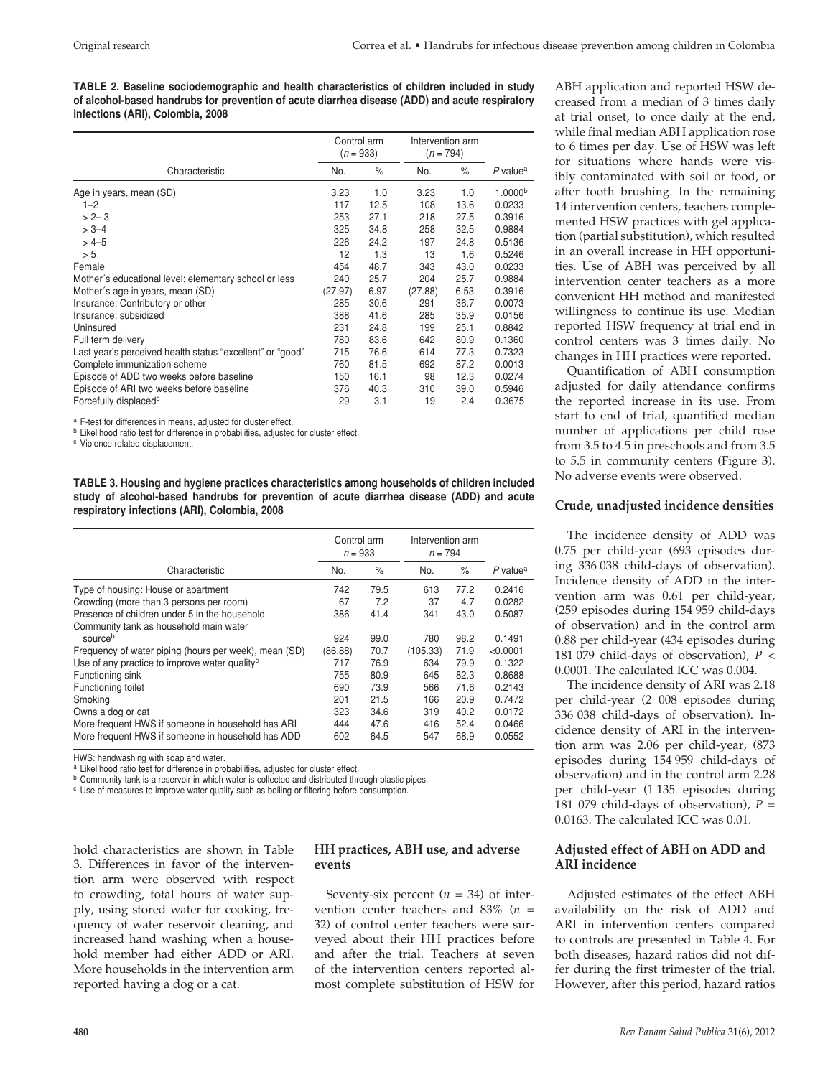**TABLE 2. Baseline sociodemographic and health characteristics of children included in study of alcohol-based handrubs for prevention of acute diarrhea disease (ADD) and acute respiratory infections (ARI), Colombia, 2008** 

|                                                           | Control arm<br>$(n = 933)$ |      | Intervention arm<br>$(n = 794)$ |      |                        |
|-----------------------------------------------------------|----------------------------|------|---------------------------------|------|------------------------|
| Characteristic                                            | No.                        | $\%$ | No.                             | $\%$ | $P$ value <sup>a</sup> |
| Age in years, mean (SD)                                   | 3.23                       | 1.0  | 3.23                            | 1.0  | 1.0000 <sup>b</sup>    |
| $1 - 2$                                                   | 117                        | 12.5 | 108                             | 13.6 | 0.0233                 |
| $> 2 - 3$                                                 | 253                        | 27.1 | 218                             | 27.5 | 0.3916                 |
| $> 3 - 4$                                                 | 325                        | 34.8 | 258                             | 32.5 | 0.9884                 |
| $>4-5$                                                    | 226                        | 24.2 | 197                             | 24.8 | 0.5136                 |
| > 5                                                       | 12                         | 1.3  | 13                              | 1.6  | 0.5246                 |
| Female                                                    | 454                        | 48.7 | 343                             | 43.0 | 0.0233                 |
| Mother's educational level: elementary school or less     | 240                        | 25.7 | 204                             | 25.7 | 0.9884                 |
| Mother's age in years, mean (SD)                          | (27.97)                    | 6.97 | (27.88)                         | 6.53 | 0.3916                 |
| Insurance: Contributory or other                          | 285                        | 30.6 | 291                             | 36.7 | 0.0073                 |
| Insurance: subsidized                                     | 388                        | 41.6 | 285                             | 35.9 | 0.0156                 |
| Uninsured                                                 | 231                        | 24.8 | 199                             | 25.1 | 0.8842                 |
| Full term delivery                                        | 780                        | 83.6 | 642                             | 80.9 | 0.1360                 |
| Last year's perceived health status "excellent" or "good" | 715                        | 76.6 | 614                             | 77.3 | 0.7323                 |
| Complete immunization scheme                              | 760                        | 81.5 | 692                             | 87.2 | 0.0013                 |
| Episode of ADD two weeks before baseline                  | 150                        | 16.1 | 98                              | 12.3 | 0.0274                 |
| Episode of ARI two weeks before baseline                  | 376                        | 40.3 | 310                             | 39.0 | 0.5946                 |
| Forcefully displaced <sup>c</sup>                         | 29                         | 3.1  | 19                              | 2.4  | 0.3675                 |

<sup>a</sup> F-test for differences in means, adjusted for cluster effect.

**b** Likelihood ratio test for difference in probabilities, adjusted for cluster effect.

<sup>c</sup> Violence related displacement.

**TABLE 3. Housing and hygiene practices characteristics among households of children included study of alcohol-based handrubs for prevention of acute diarrhea disease (ADD) and acute respiratory infections (ARI), Colombia, 2008** 

|                                                           | Control arm<br>$n = 933$ |      | Intervention arm<br>$n = 794$ |      |                        |  |
|-----------------------------------------------------------|--------------------------|------|-------------------------------|------|------------------------|--|
| Characteristic                                            | No.                      | %    | No.                           | $\%$ | $P$ value <sup>a</sup> |  |
| Type of housing: House or apartment                       | 742                      | 79.5 | 613                           | 77.2 | 0.2416                 |  |
| Crowding (more than 3 persons per room)                   | 67                       | 7.2  | 37                            | 4.7  | 0.0282                 |  |
| Presence of children under 5 in the household             | 386                      | 41.4 | 341                           | 43.0 | 0.5087                 |  |
| Community tank as household main water                    |                          |      |                               |      |                        |  |
| sourceb                                                   | 924                      | 99.0 | 780                           | 98.2 | 0.1491                 |  |
| Frequency of water piping (hours per week), mean (SD)     | (86.88)                  | 70.7 | (105.33)                      | 71.9 | < 0.0001               |  |
| Use of any practice to improve water quality <sup>c</sup> | 717                      | 76.9 | 634                           | 79.9 | 0.1322                 |  |
| Functioning sink                                          | 755                      | 80.9 | 645                           | 82.3 | 0.8688                 |  |
| Functioning toilet                                        | 690                      | 73.9 | 566                           | 71.6 | 0.2143                 |  |
| Smoking                                                   | 201                      | 21.5 | 166                           | 20.9 | 0.7472                 |  |
| Owns a dog or cat                                         | 323                      | 34.6 | 319                           | 40.2 | 0.0172                 |  |
| More frequent HWS if someone in household has ARI         | 444                      | 47.6 | 416                           | 52.4 | 0.0466                 |  |
| More frequent HWS if someone in household has ADD         | 602                      | 64.5 | 547                           | 68.9 | 0.0552                 |  |

HWS: handwashing with soap and water.<br>a Likelihood ratio test for difference in probabilities, adjusted for cluster effect.

<sup>b</sup> Community tank is a reservoir in which water is collected and distributed through plastic pipes.

<sup>c</sup> Use of measures to improve water quality such as boiling or filtering before consumption.

hold characteristics are shown in Table 3. Differences in favor of the intervention arm were observed with respect to crowding, total hours of water supply, using stored water for cooking, frequency of water reservoir cleaning, and increased hand washing when a household member had either ADD or ARI. More households in the intervention arm reported having a dog or a cat.

# **HH practices, ABH use, and adverse events**

Seventy-six percent (*n =* 34) of intervention center teachers and 83% (*n =*  32) of control center teachers were surveyed about their HH practices before and after the trial. Teachers at seven of the intervention centers reported almost complete substitution of HSW for

ABH application and reported HSW decreased from a median of 3 times daily at trial onset, to once daily at the end, while final median ABH application rose to 6 times per day. Use of HSW was left for situations where hands were visibly contaminated with soil or food, or after tooth brushing. In the remaining 14 intervention centers, teachers complemented HSW practices with gel application (partial substitution), which resulted in an overall increase in HH opportunities. Use of ABH was perceived by all intervention center teachers as a more convenient HH method and manifested willingness to continue its use. Median reported HSW frequency at trial end in control centers was 3 times daily. No changes in HH practices were reported.

Quantification of ABH consumption adjusted for daily attendance confirms the reported increase in its use. From start to end of trial, quantified median number of applications per child rose from 3.5 to 4.5 in preschools and from 3.5 to 5.5 in community centers (Figure 3). No adverse events were observed.

## **Crude, unadjusted incidence densities**

The incidence density of ADD was 0.75 per child-year (693 episodes during 336 038 child-days of observation). Incidence density of ADD in the intervention arm was 0.61 per child-year, (259 episodes during 154 959 child-days of observation) and in the control arm 0.88 per child-year (434 episodes during 181 079 child-days of observation), *P <*  0.0001. The calculated ICC was 0.004.

The incidence density of ARI was 2.18 per child-year (2 008 episodes during 336 038 child-days of observation). Incidence density of ARI in the intervention arm was 2.06 per child-year, (873 episodes during 154 959 child-days of observation) and in the control arm 2.28 per child-year (1 135 episodes during 181 079 child-days of observation),  $P =$ 0.0163. The calculated ICC was 0.01.

# **Adjusted effect of ABH on ADD and ARI incidence**

Adjusted estimates of the effect ABH availability on the risk of ADD and ARI in intervention centers compared to controls are presented in Table 4. For both diseases, hazard ratios did not differ during the first trimester of the trial. However, after this period, hazard ratios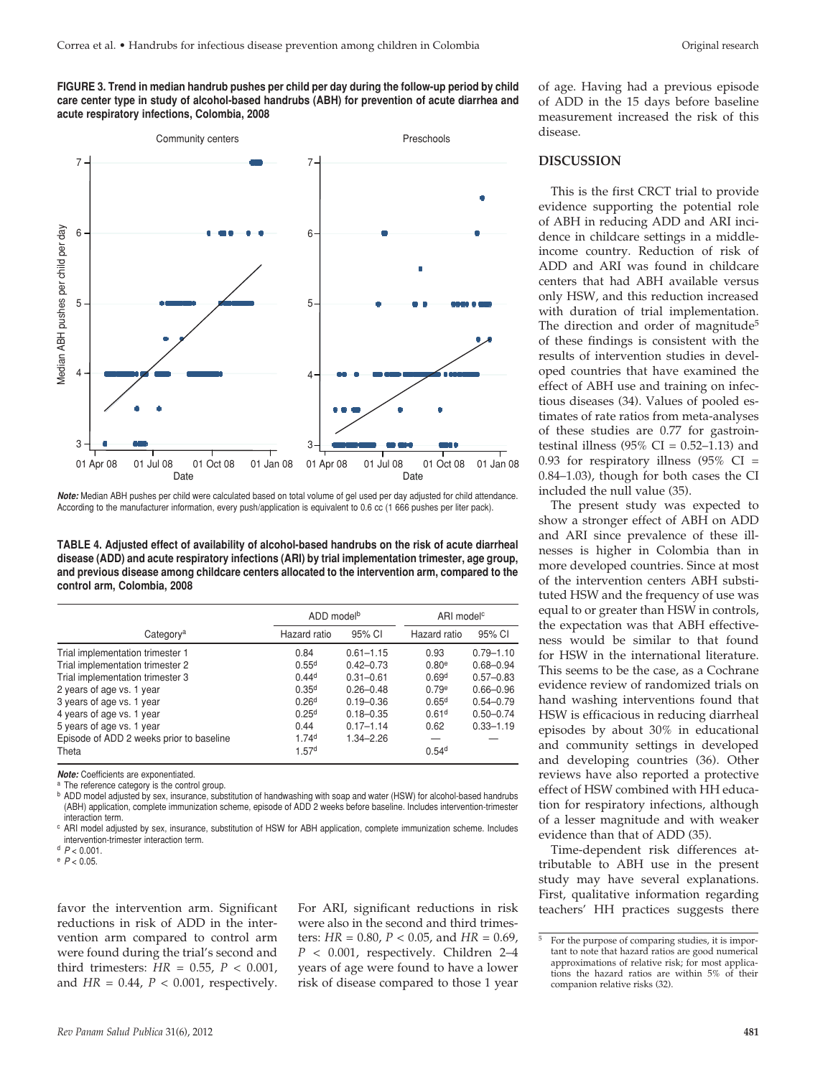**FIGURE 3. Trend in median handrub pushes per child per day during the follow-up period by child care center type in study of alcohol-based handrubs (ABH) for prevention of acute diarrhea and acute respiratory infections, Colombia, 2008** 



*Note:* Median ABH pushes per child were calculated based on total volume of gel used per day adjusted for child attendance. According to the manufacturer information, every push/application is equivalent to 0.6 cc (1 666 pushes per liter pack).

**TABLE 4. Adjusted effect of availability of alcohol-based handrubs on the risk of acute diarrheal disease (ADD) and acute respiratory infections (ARI) by trial implementation trimester, age group, and previous disease among childcare centers allocated to the intervention arm, compared to the control arm, Colombia, 2008**

|                                          | ADD model <sup>b</sup> |               | ARI model <sup>c</sup> |               |
|------------------------------------------|------------------------|---------------|------------------------|---------------|
| Category <sup>a</sup>                    | Hazard ratio           | 95% CI        | Hazard ratio           | 95% CI        |
| Trial implementation trimester 1         | 0.84                   | $0.61 - 1.15$ | 0.93                   | $0.79 - 1.10$ |
| Trial implementation trimester 2         | 0.55 <sup>d</sup>      | $0.42 - 0.73$ | 0.80 <sup>e</sup>      | $0.68 - 0.94$ |
| Trial implementation trimester 3         | 0.44 <sup>d</sup>      | $0.31 - 0.61$ | 0.69 <sup>d</sup>      | $0.57 - 0.83$ |
| 2 years of age vs. 1 year                | 0.35 <sup>d</sup>      | $0.26 - 0.48$ | 0.79 <sup>e</sup>      | $0.66 - 0.96$ |
| 3 years of age vs. 1 year                | 0.26 <sup>d</sup>      | $0.19 - 0.36$ | 0.65 <sup>d</sup>      | $0.54 - 0.79$ |
| 4 years of age vs. 1 year                | 0.25 <sup>d</sup>      | $0.18 - 0.35$ | 0.61 <sup>d</sup>      | $0.50 - 0.74$ |
| 5 years of age vs. 1 year                | 0.44                   | $0.17 - 1.14$ | 0.62                   | $0.33 - 1.19$ |
| Episode of ADD 2 weeks prior to baseline | 1.74 <sup>d</sup>      | $1.34 - 2.26$ |                        |               |
| Theta                                    | 1.57 <sup>d</sup>      |               | 0.54 <sup>d</sup>      |               |

**Note:** Coefficients are exponentiated.<br><sup>a</sup> The reference category is the control group.

b ADD model adjusted by sex, insurance, substitution of handwashing with soap and water (HSW) for alcohol-based handrubs (ABH) application, complete immunization scheme, episode of ADD 2 weeks before baseline. Includes intervention-trimester interaction term.

<sup>c</sup> ARI model adjusted by sex, insurance, substitution of HSW for ABH application, complete immunization scheme. Includes intervention-trimester interaction term.

<sup>d</sup> *P* < 0.001.

<sup>e</sup> *P* < 0.05.

favor the intervention arm. Significant reductions in risk of ADD in the intervention arm compared to control arm were found during the trial's second and third trimesters: *HR =* 0.55, *P <* 0.001, and *HR =* 0.44, *P <* 0.001, respectively.

For ARI, significant reductions in risk were also in the second and third trimesters: *HR =* 0.80, *P <* 0.05, and *HR =* 0.69, *P <* 0.001, respectively. Children 2–4 years of age were found to have a lower risk of disease compared to those 1 year of age. Having had a previous episode of ADD in the 15 days before baseline measurement increased the risk of this disease.

#### **DISCUSSION**

This is the first CRCT trial to provide evidence supporting the potential role of ABH in reducing ADD and ARI incidence in childcare settings in a middleincome country. Reduction of risk of ADD and ARI was found in childcare centers that had ABH available versus only HSW, and this reduction increased with duration of trial implementation. The direction and order of magnitude<sup>5</sup> of these findings is consistent with the results of intervention studies in developed countries that have examined the effect of ABH use and training on infectious diseases (34). Values of pooled estimates of rate ratios from meta-analyses of these studies are 0.77 for gastrointestinal illness (95% CI =  $0.52-1.13$ ) and 0.93 for respiratory illness  $(95\% \text{ CI} =$ 0.84–1.03), though for both cases the CI included the null value (35).

The present study was expected to show a stronger effect of ABH on ADD and ARI since prevalence of these illnesses is higher in Colombia than in more developed countries. Since at most of the intervention centers ABH substituted HSW and the frequency of use was equal to or greater than HSW in controls, the expectation was that ABH effectiveness would be similar to that found for HSW in the international literature. This seems to be the case, as a Cochrane evidence review of randomized trials on hand washing interventions found that HSW is efficacious in reducing diarrheal episodes by about 30% in educational and community settings in developed and developing countries (36). Other reviews have also reported a protective effect of HSW combined with HH education for respiratory infections, although of a lesser magnitude and with weaker evidence than that of ADD (35).

Time-dependent risk differences attributable to ABH use in the present study may have several explanations. First, qualitative information regarding teachers' HH practices suggests there

<sup>5</sup> For the purpose of comparing studies, it is important to note that hazard ratios are good numerical approximations of relative risk; for most applications the hazard ratios are within 5% of their companion relative risks (32).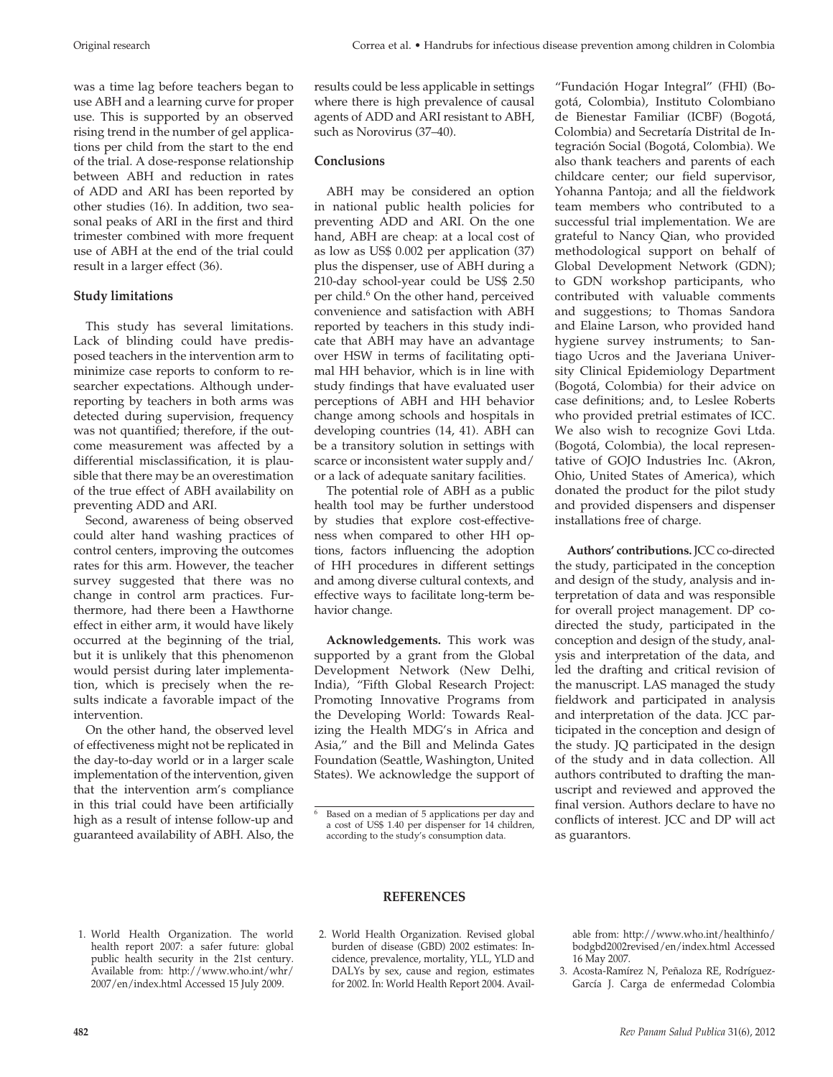was a time lag before teachers began to use ABH and a learning curve for proper use. This is supported by an observed rising trend in the number of gel applications per child from the start to the end of the trial. A dose-response relationship between ABH and reduction in rates of ADD and ARI has been reported by other studies (16). In addition, two seasonal peaks of ARI in the first and third trimester combined with more frequent use of ABH at the end of the trial could result in a larger effect (36).

## **Study limitations**

This study has several limitations. Lack of blinding could have predisposed teachers in the intervention arm to minimize case reports to conform to researcher expectations. Although underreporting by teachers in both arms was detected during supervision, frequency was not quantified; therefore, if the outcome measurement was affected by a differential misclassification, it is plausible that there may be an overestimation of the true effect of ABH availability on preventing ADD and ARI.

Second, awareness of being observed could alter hand washing practices of control centers, improving the outcomes rates for this arm. However, the teacher survey suggested that there was no change in control arm practices. Furthermore, had there been a Hawthorne effect in either arm, it would have likely occurred at the beginning of the trial, but it is unlikely that this phenomenon would persist during later implementation, which is precisely when the results indicate a favorable impact of the intervention.

On the other hand, the observed level of effectiveness might not be replicated in the day-to-day world or in a larger scale implementation of the intervention, given that the intervention arm's compliance in this trial could have been artificially high as a result of intense follow-up and guaranteed availability of ABH. Also, the results could be less applicable in settings where there is high prevalence of causal agents of ADD and ARI resistant to ABH, such as Norovirus (37–40).

#### **Conclusions**

ABH may be considered an option in national public health policies for preventing ADD and ARI. On the one hand, ABH are cheap: at a local cost of as low as US\$ 0.002 per application (37) plus the dispenser, use of ABH during a 210-day school-year could be US\$ 2.50 per child.<sup>6</sup> On the other hand, perceived convenience and satisfaction with ABH reported by teachers in this study indicate that ABH may have an advantage over HSW in terms of facilitating optimal HH behavior, which is in line with study findings that have evaluated user perceptions of ABH and HH behavior change among schools and hospitals in developing countries (14, 41). ABH can be a transitory solution in settings with scarce or inconsistent water supply and/ or a lack of adequate sanitary facilities.

The potential role of ABH as a public health tool may be further understood by studies that explore cost-effectiveness when compared to other HH options, factors influencing the adoption of HH procedures in different settings and among diverse cultural contexts, and effective ways to facilitate long-term behavior change.

**Acknowledgements.** This work was supported by a grant from the Global Development Network (New Delhi, India), "Fifth Global Research Project: Promoting Innovative Programs from the Developing World: Towards Realizing the Health MDG's in Africa and Asia," and the Bill and Melinda Gates Foundation (Seattle, Washington, United States). We acknowledge the support of "Fundación Hogar Integral" (FHI) (Bogotá, Colombia), Instituto Colombiano de Bienestar Familiar (ICBF) (Bogotá, Colombia) and Secretaría Distrital de Integración Social (Bogotá, Colombia). We also thank teachers and parents of each childcare center; our field supervisor, Yohanna Pantoja; and all the fieldwork team members who contributed to a successful trial implementation. We are grateful to Nancy Qian, who provided methodological support on behalf of Global Development Network (GDN); to GDN workshop participants, who contributed with valuable comments and suggestions; to Thomas Sandora and Elaine Larson, who provided hand hygiene survey instruments; to Santiago Ucros and the Javeriana University Clinical Epidemiology Department (Bogotá, Colombia) for their advice on case definitions; and, to Leslee Roberts who provided pretrial estimates of ICC. We also wish to recognize Govi Ltda. (Bogotá, Colombia), the local representative of GOJO Industries Inc. (Akron, Ohio, United States of America), which donated the product for the pilot study and provided dispensers and dispenser installations free of charge.

**Authors' contributions.** JCC co-directed the study, participated in the conception and design of the study, analysis and interpretation of data and was responsible for overall project management. DP codirected the study, participated in the conception and design of the study, analysis and interpretation of the data, and led the drafting and critical revision of the manuscript. LAS managed the study fieldwork and participated in analysis and interpretation of the data. JCC participated in the conception and design of the study. JQ participated in the design of the study and in data collection. All authors contributed to drafting the manuscript and reviewed and approved the final version. Authors declare to have no conflicts of interest. JCC and DP will act as guarantors.

#### 1. World Health Organization. The world health report 2007: a safer future: global public health security in the 21st century. Available from: http://www.who.int/whr/ 2007/en/index.html Accessed 15 July 2009.

# **REFERENCES**

2. World Health Organization. Revised global burden of disease (GBD) 2002 estimates: Incidence, prevalence, mortality, YLL, YLD and DALYs by sex, cause and region, estimates for 2002. In: World Health Report 2004. Available from: http://www.who.int/healthinfo/ bodgbd2002revised/en/index.html Accessed 16 May 2007.

3. Acosta-Ramírez N, Peñaloza RE, Rodríguez-García J. Carga de enfermedad Colombia

Based on a median of 5 applications per day and a cost of US\$ 1.40 per dispenser for 14 children, according to the study's consumption data.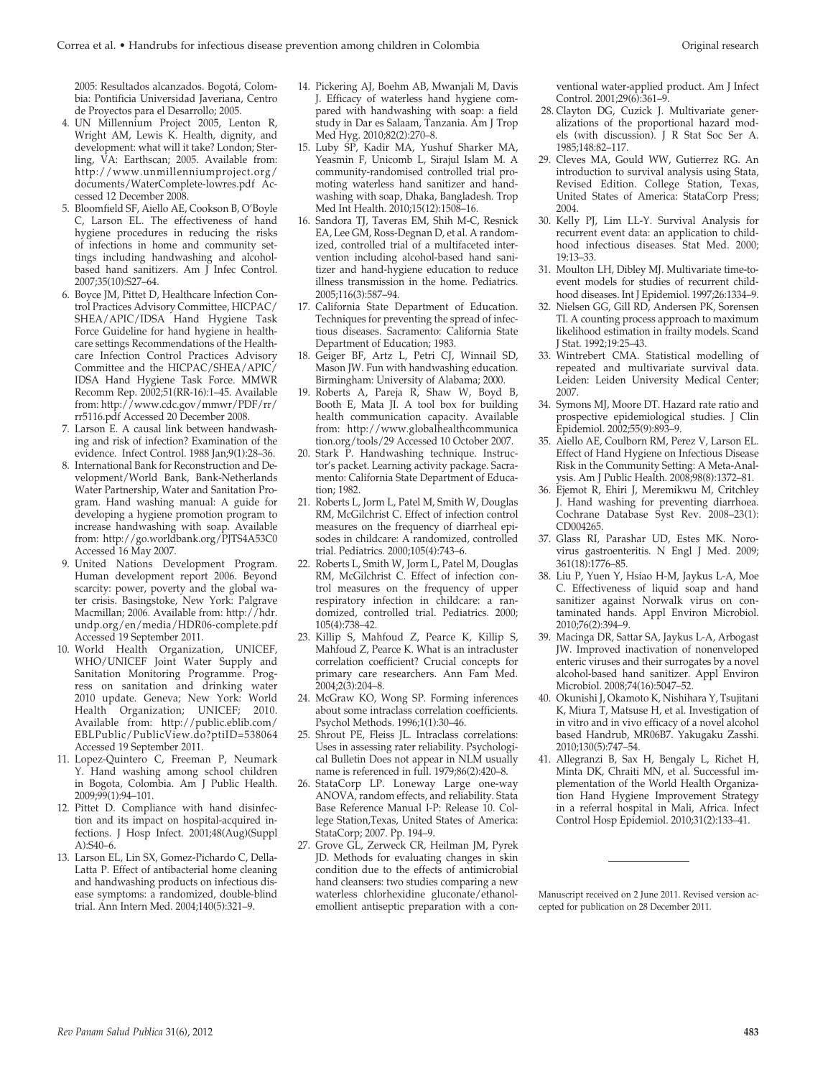2005: Resultados alcanzados. Bogotá, Colombia: Pontificia Universidad Javeriana, Centro de Proyectos para el Desarrollo; 2005.

- 4. UN Millennium Project 2005, Lenton R, Wright AM, Lewis K. Health, dignity, and development: what will it take? London; Sterling, VA: Earthscan; 2005. Available from: http://www.unmillenniumproject.org/ documents/WaterComplete-lowres.pdf Accessed 12 December 2008.
- 5. Bloomfield SF, Aiello AE, Cookson B, O'Boyle C, Larson EL. The effectiveness of hand hygiene procedures in reducing the risks of infections in home and community settings including handwashing and alcoholbased hand sanitizers. Am J Infec Control. 2007;35(10):S27–64.
- 6. Boyce JM, Pittet D, Healthcare Infection Control Practices Advisory Committee, HICPAC/ SHEA/APIC/IDSA Hand Hygiene Task Force Guideline for hand hygiene in healthcare settings Recommendations of the Healthcare Infection Control Practices Advisory Committee and the HICPAC/SHEA/APIC/ IDSA Hand Hygiene Task Force. MMWR Recomm Rep. 2002;51(RR-16):1–45. Available from: http://www.cdc.gov/mmwr/PDF/rr/ rr5116.pdf Accessed 20 December 2008.
- 7. Larson E. A causal link between handwashing and risk of infection? Examination of the evidence. Infect Control. 1988 Jan;9(1):28–36.
- 8. International Bank for Reconstruction and Development/World Bank, Bank-Netherlands Water Partnership, Water and Sanitation Program. Hand washing manual: A guide for developing a hygiene promotion program to increase handwashing with soap. Available from: http://go.worldbank.org/PJTS4A53C0 Accessed 16 May 2007.
- 9. United Nations Development Program. Human development report 2006. Beyond scarcity: power, poverty and the global water crisis. Basingstoke, New York: Palgrave Macmillan; 2006. Available from: http://hdr. undp.org/en/media/HDR06-complete.pdf Accessed 19 September 2011.
- 10. World Health Organization, UNICEF, WHO/UNICEF Joint Water Supply and Sanitation Monitoring Programme. Progress on sanitation and drinking water 2010 update. Geneva; New York: World Health Organization; UNICEF; 2010. Available from: http://public.eblib.com/ EBLPublic/PublicView.do?ptiID=538064 Accessed 19 September 2011.
- 11. Lopez-Quintero C, Freeman P, Neumark Y. Hand washing among school children in Bogota, Colombia. Am J Public Health. 2009;99(1):94–101.
- 12. Pittet D. Compliance with hand disinfection and its impact on hospital-acquired infections. J Hosp Infect. 2001;48(Aug)(Suppl  $A$ ):S40–6.
- 13. Larson EL, Lin SX, Gomez-Pichardo C, Della-Latta P. Effect of antibacterial home cleaning and handwashing products on infectious disease symptoms: a randomized, double-blind trial. Ann Intern Med. 2004;140(5):321–9.
- 14. Pickering AJ, Boehm AB, Mwanjali M, Davis J. Efficacy of waterless hand hygiene compared with handwashing with soap: a field study in Dar es Salaam, Tanzania. Am J Trop Med Hyg. 2010;82(2):270–8.
- 15. Luby SP, Kadir MA, Yushuf Sharker MA, Yeasmin F, Unicomb L, Sirajul Islam M. A community-randomised controlled trial promoting waterless hand sanitizer and handwashing with soap, Dhaka, Bangladesh. Trop Med Int Health. 2010;15(12):1508–16.
- 16. Sandora TJ, Taveras EM, Shih M-C, Resnick EA, Lee GM, Ross-Degnan D, et al. A randomized, controlled trial of a multifaceted intervention including alcohol-based hand sanitizer and hand-hygiene education to reduce illness transmission in the home. Pediatrics. 2005;116(3):587–94.
- 17. California State Department of Education. Techniques for preventing the spread of infectious diseases. Sacramento: California State Department of Education; 1983.
- 18. Geiger BF, Artz L, Petri CJ, Winnail SD, Mason JW. Fun with handwashing education. Birmingham: University of Alabama; 2000.
- 19. Roberts A, Pareja R, Shaw W, Boyd B, Booth E, Mata JI. A tool box for building health communication capacity. Available from: http://www.globalhealthcommunica tion.org/tools/29 Accessed 10 October 2007.
- 20. Stark P. Handwashing technique. Instructor's packet. Learning activity package. Sacramento: California State Department of Education; 1982.
- 21. Roberts L, Jorm L, Patel M, Smith W, Douglas RM, McGilchrist C. Effect of infection control measures on the frequency of diarrheal episodes in childcare: A randomized, controlled trial. Pediatrics. 2000;105(4):743–6.
- 22. Roberts L, Smith W, Jorm L, Patel M, Douglas RM, McGilchrist C. Effect of infection control measures on the frequency of upper respiratory infection in childcare: a randomized, controlled trial. Pediatrics. 2000; 105(4):738–42.
- 23. Killip S, Mahfoud Z, Pearce K, Killip S, Mahfoud Z, Pearce K. What is an intracluster correlation coefficient? Crucial concepts for primary care researchers. Ann Fam Med.  $2004;2(3):204-8.$
- 24. McGraw KO, Wong SP. Forming inferences about some intraclass correlation coefficients. Psychol Methods. 1996;1(1):30–46.
- 25. Shrout PE, Fleiss JL. Intraclass correlations: Uses in assessing rater reliability. Psychological Bulletin Does not appear in NLM usually name is referenced in full. 1979;86(2):420–8.
- 26. StataCorp LP. Loneway Large one-way ANOVA, random effects, and reliability. Stata Base Reference Manual I-P: Release 10. College Station,Texas, United States of America: StataCorp; 2007. Pp. 194–9.
- 27. Grove GL, Zerweck CR, Heilman JM, Pyrek JD. Methods for evaluating changes in skin condition due to the effects of antimicrobial hand cleansers: two studies comparing a new waterless chlorhexidine gluconate/ethanolemollient antiseptic preparation with a con-

ventional water-applied product. Am J Infect Control. 2001;29(6):361–9.

- 28. Clayton DG, Cuzick J. Multivariate generalizations of the proportional hazard models (with discussion). J R Stat Soc Ser A. 1985;148:82–117.
- 29. Cleves MA, Gould WW, Gutierrez RG. An introduction to survival analysis using Stata, Revised Edition. College Station, Texas, United States of America: StataCorp Press; 2004.
- 30. Kelly PJ, Lim LL-Y. Survival Analysis for recurrent event data: an application to childhood infectious diseases. Stat Med. 2000; 19:13–33.
- 31. Moulton LH, Dibley MJ. Multivariate time-toevent models for studies of recurrent childhood diseases. Int J Epidemiol. 1997;26:1334–9.
- 32. Nielsen GG, Gill RD, Andersen PK, Sorensen TI. A counting process approach to maximum likelihood estimation in frailty models. Scand J Stat. 1992;19:25–43.
- 33. Wintrebert CMA. Statistical modelling of repeated and multivariate survival data. Leiden: Leiden University Medical Center; 2007.
- 34. Symons MJ, Moore DT. Hazard rate ratio and prospective epidemiological studies. J Clin Epidemiol. 2002;55(9):893–9.
- 35. Aiello AE, Coulborn RM, Perez V, Larson EL. Effect of Hand Hygiene on Infectious Disease Risk in the Community Setting: A Meta-Analysis. Am J Public Health. 2008;98(8):1372–81.
- 36. Ejemot R, Ehiri J, Meremikwu M, Critchley J. Hand washing for preventing diarrhoea. Cochrane Database Syst Rev. 2008–23(1): CD004265.
- 37. Glass RI, Parashar UD, Estes MK. Norovirus gastroenteritis. N Engl J Med. 2009; 361(18):1776–85.
- 38. Liu P, Yuen Y, Hsiao H-M, Jaykus L-A, Moe C. Effectiveness of liquid soap and hand sanitizer against Norwalk virus on contaminated hands. Appl Environ Microbiol. 2010;76(2):394–9.
- 39. Macinga DR, Sattar SA, Jaykus L-A, Arbogast JW. Improved inactivation of nonenveloped enteric viruses and their surrogates by a novel alcohol-based hand sanitizer. Appl Environ Microbiol. 2008;74(16):5047–52.
- 40. Okunishi J, Okamoto K, Nishihara Y, Tsujitani K, Miura T, Matsuse H, et al. Investigation of in vitro and in vivo efficacy of a novel alcohol based Handrub, MR06B7. Yakugaku Zasshi. 2010;130(5):747–54.
- 41. Allegranzi B, Sax H, Bengaly L, Richet H, Minta DK, Chraiti MN, et al. Successful implementation of the World Health Organization Hand Hygiene Improvement Strategy in a referral hospital in Mali, Africa. Infect Control Hosp Epidemiol. 2010;31(2):133–41.

Manuscript received on 2 June 2011. Revised version accepted for publication on 28 December 2011.